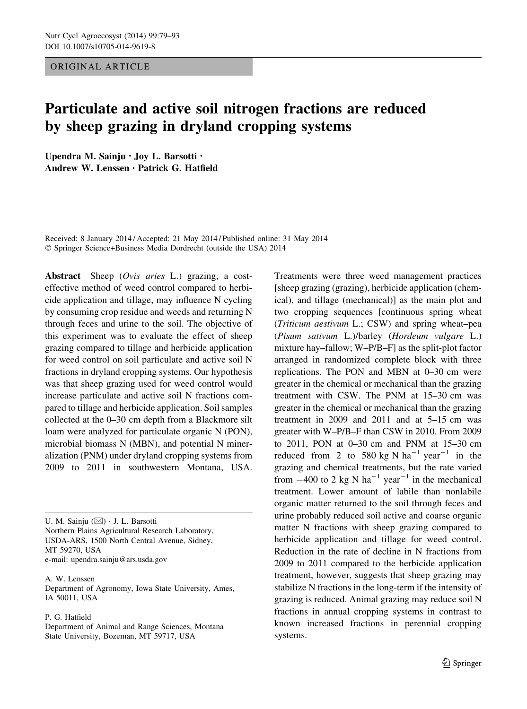# ORIGINAL ARTICLE

# Particulate and active soil nitrogen fractions are reduced by sheep grazing in dryland cropping systems

Upendra M. Sainju • Joy L. Barsotti • Andrew W. Lenssen • Patrick G. Hatfield

Received: 8 January 2014 / Accepted: 21 May 2014 / Published online: 31 May 2014 - Springer Science+Business Media Dordrecht (outside the USA) 2014

Abstract Sheep (Ovis aries L.) grazing, a costeffective method of weed control compared to herbicide application and tillage, may influence N cycling by consuming crop residue and weeds and returning N through feces and urine to the soil. The objective of this experiment was to evaluate the effect of sheep grazing compared to tillage and herbicide application for weed control on soil particulate and active soil N fractions in dryland cropping systems. Our hypothesis was that sheep grazing used for weed control would increase particulate and active soil N fractions compared to tillage and herbicide application. Soil samples collected at the 0–30 cm depth from a Blackmore silt loam were analyzed for particulate organic N (PON), microbial biomass N (MBN), and potential N mineralization (PNM) under dryland cropping systems from 2009 to 2011 in southwestern Montana, USA.

U. M. Sainju (⊠) · J. L. Barsotti Northern Plains Agricultural Research Laboratory, USDA-ARS, 1500 North Central Avenue, Sidney, MT 59270, USA e-mail: upendra.sainju@ars.usda.gov

A. W. Lenssen Department of Agronomy, Iowa State University, Ames, IA 50011, USA

#### P. G. Hatfield

Department of Animal and Range Sciences, Montana State University, Bozeman, MT 59717, USA

Treatments were three weed management practices [sheep grazing (grazing), herbicide application (chemical), and tillage (mechanical)] as the main plot and two cropping sequences [continuous spring wheat (Triticum aestivum L.; CSW) and spring wheat–pea (Pisum sativum L.)/barley (Hordeum vulgare L.) mixture hay–fallow; W–P/B–F] as the split-plot factor arranged in randomized complete block with three replications. The PON and MBN at 0–30 cm were greater in the chemical or mechanical than the grazing treatment with CSW. The PNM at 15–30 cm was greater in the chemical or mechanical than the grazing treatment in 2009 and 2011 and at 5–15 cm was greater with W–P/B–F than CSW in 2010. From 2009 to 2011, PON at 0–30 cm and PNM at 15–30 cm reduced from 2 to 580 kg N  $ha^{-1}$  year<sup>-1</sup> in the grazing and chemical treatments, but the rate varied from  $-400$  to 2 kg N ha<sup>-1</sup> year<sup>-1</sup> in the mechanical treatment. Lower amount of labile than nonlabile organic matter returned to the soil through feces and urine probably reduced soil active and coarse organic matter N fractions with sheep grazing compared to herbicide application and tillage for weed control. Reduction in the rate of decline in N fractions from 2009 to 2011 compared to the herbicide application treatment, however, suggests that sheep grazing may stabilize N fractions in the long-term if the intensity of grazing is reduced. Animal grazing may reduce soil N fractions in annual cropping systems in contrast to known increased fractions in perennial cropping systems.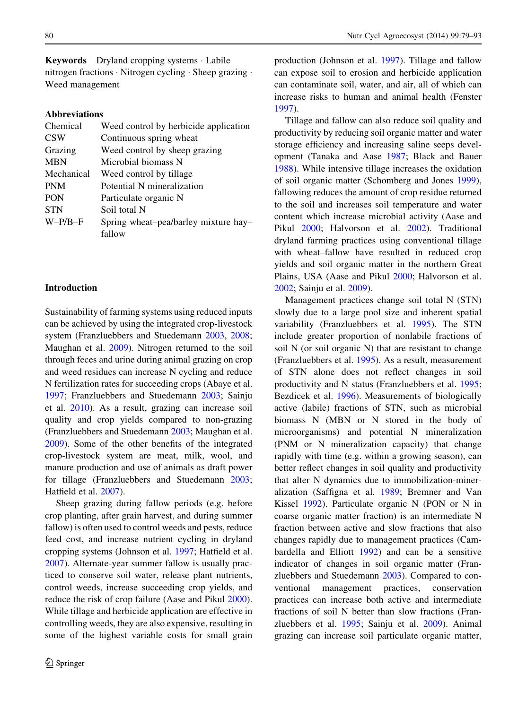Keywords Dryland cropping systems - Labile nitrogen fractions - Nitrogen cycling - Sheep grazing - Weed management

#### Abbreviations

| Chemical   | Weed control by herbicide application |
|------------|---------------------------------------|
| <b>CSW</b> | Continuous spring wheat               |
| Grazing    | Weed control by sheep grazing         |
| <b>MBN</b> | Microbial biomass N                   |
| Mechanical | Weed control by tillage               |
| <b>PNM</b> | Potential N mineralization            |
| <b>PON</b> | Particulate organic N                 |
| <b>STN</b> | Soil total N                          |
| $W-P/B-F$  | Spring wheat-pea/barley mixture hay-  |
|            | fallow                                |
|            |                                       |

#### Introduction

Sustainability of farming systems using reduced inputs can be achieved by using the integrated crop-livestock system (Franzluebbers and Stuedemann [2003](#page-14-0), [2008](#page-14-0); Maughan et al. [2009](#page-14-0)). Nitrogen returned to the soil through feces and urine during animal grazing on crop and weed residues can increase N cycling and reduce N fertilization rates for succeeding crops (Abaye et al. [1997;](#page-14-0) Franzluebbers and Stuedemann [2003](#page-14-0); Sainju et al. [2010\)](#page-14-0). As a result, grazing can increase soil quality and crop yields compared to non-grazing (Franzluebbers and Stuedemann [2003;](#page-14-0) Maughan et al. [2009\)](#page-14-0). Some of the other benefits of the integrated crop-livestock system are meat, milk, wool, and manure production and use of animals as draft power for tillage (Franzluebbers and Stuedemann [2003](#page-14-0); Hatfield et al. [2007](#page-14-0)).

Sheep grazing during fallow periods (e.g. before crop planting, after grain harvest, and during summer fallow) is often used to control weeds and pests, reduce feed cost, and increase nutrient cycling in dryland cropping systems (Johnson et al. [1997](#page-14-0); Hatfield et al. [2007\)](#page-14-0). Alternate-year summer fallow is usually practiced to conserve soil water, release plant nutrients, control weeds, increase succeeding crop yields, and reduce the risk of crop failure (Aase and Pikul [2000](#page-14-0)). While tillage and herbicide application are effective in controlling weeds, they are also expensive, resulting in some of the highest variable costs for small grain production (Johnson et al. [1997](#page-14-0)). Tillage and fallow can expose soil to erosion and herbicide application can contaminate soil, water, and air, all of which can increase risks to human and animal health (Fenster [1997\)](#page-14-0).

Tillage and fallow can also reduce soil quality and productivity by reducing soil organic matter and water storage efficiency and increasing saline seeps development (Tanaka and Aase [1987](#page-14-0); Black and Bauer [1988\)](#page-14-0). While intensive tillage increases the oxidation of soil organic matter (Schomberg and Jones [1999](#page-14-0)), fallowing reduces the amount of crop residue returned to the soil and increases soil temperature and water content which increase microbial activity (Aase and Pikul [2000](#page-14-0); Halvorson et al. [2002\)](#page-14-0). Traditional dryland farming practices using conventional tillage with wheat–fallow have resulted in reduced crop yields and soil organic matter in the northern Great Plains, USA (Aase and Pikul [2000](#page-14-0); Halvorson et al. [2002;](#page-14-0) Sainju et al. [2009](#page-14-0)).

Management practices change soil total N (STN) slowly due to a large pool size and inherent spatial variability (Franzluebbers et al. [1995\)](#page-14-0). The STN include greater proportion of nonlabile fractions of soil N (or soil organic N) that are resistant to change (Franzluebbers et al. [1995\)](#page-14-0). As a result, measurement of STN alone does not reflect changes in soil productivity and N status (Franzluebbers et al. [1995](#page-14-0); Bezdicek et al. [1996\)](#page-14-0). Measurements of biologically active (labile) fractions of STN, such as microbial biomass N (MBN or N stored in the body of microorganisms) and potential N mineralization (PNM or N mineralization capacity) that change rapidly with time (e.g. within a growing season), can better reflect changes in soil quality and productivity that alter N dynamics due to immobilization-mineralization (Saffigna et al. [1989;](#page-14-0) Bremner and Van Kissel [1992\)](#page-14-0). Particulate organic N (PON or N in coarse organic matter fraction) is an intermediate N fraction between active and slow fractions that also changes rapidly due to management practices (Cambardella and Elliott [1992\)](#page-14-0) and can be a sensitive indicator of changes in soil organic matter (Franzluebbers and Stuedemann [2003](#page-14-0)). Compared to conventional management practices, conservation practices can increase both active and intermediate fractions of soil N better than slow fractions (Franzluebbers et al. [1995;](#page-14-0) Sainju et al. [2009\)](#page-14-0). Animal grazing can increase soil particulate organic matter,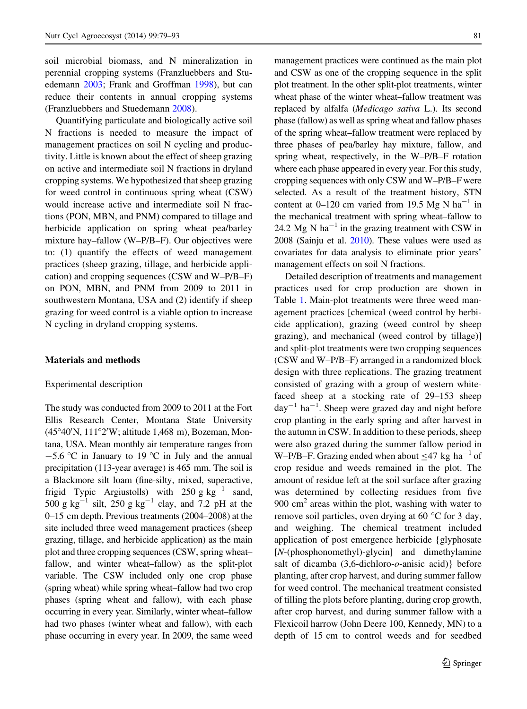soil microbial biomass, and N mineralization in perennial cropping systems (Franzluebbers and Stuedemann [2003;](#page-14-0) Frank and Groffman [1998](#page-14-0)), but can reduce their contents in annual cropping systems (Franzluebbers and Stuedemann [2008](#page-14-0)).

Quantifying particulate and biologically active soil N fractions is needed to measure the impact of management practices on soil N cycling and productivity. Little is known about the effect of sheep grazing on active and intermediate soil N fractions in dryland cropping systems. We hypothesized that sheep grazing for weed control in continuous spring wheat (CSW) would increase active and intermediate soil N fractions (PON, MBN, and PNM) compared to tillage and herbicide application on spring wheat–pea/barley mixture hay–fallow (W–P/B–F). Our objectives were to: (1) quantify the effects of weed management practices (sheep grazing, tillage, and herbicide application) and cropping sequences (CSW and W–P/B–F) on PON, MBN, and PNM from 2009 to 2011 in southwestern Montana, USA and (2) identify if sheep grazing for weed control is a viable option to increase N cycling in dryland cropping systems.

# Materials and methods

#### Experimental description

The study was conducted from 2009 to 2011 at the Fort Ellis Research Center, Montana State University (45°40'N, 111°2'W; altitude 1,468 m), Bozeman, Montana, USA. Mean monthly air temperature ranges from  $-5.6$  °C in January to 19 °C in July and the annual precipitation (113-year average) is 465 mm. The soil is a Blackmore silt loam (fine-silty, mixed, superactive, frigid Typic Argiustolls) with 250 g  $kg^{-1}$  sand, 500 g kg<sup>-1</sup> silt, 250 g kg<sup>-1</sup> clay, and 7.2 pH at the 0–15 cm depth. Previous treatments (2004–2008) at the site included three weed management practices (sheep grazing, tillage, and herbicide application) as the main plot and three cropping sequences (CSW, spring wheat– fallow, and winter wheat–fallow) as the split-plot variable. The CSW included only one crop phase (spring wheat) while spring wheat–fallow had two crop phases (spring wheat and fallow), with each phase occurring in every year. Similarly, winter wheat–fallow had two phases (winter wheat and fallow), with each phase occurring in every year. In 2009, the same weed management practices were continued as the main plot and CSW as one of the cropping sequence in the split plot treatment. In the other split-plot treatments, winter wheat phase of the winter wheat–fallow treatment was replaced by alfalfa (Medicago sativa L.). Its second phase (fallow) as well as spring wheat and fallow phases of the spring wheat–fallow treatment were replaced by three phases of pea/barley hay mixture, fallow, and spring wheat, respectively, in the W–P/B–F rotation where each phase appeared in every year. For this study, cropping sequences with only CSW and W–P/B–F were selected. As a result of the treatment history, STN content at  $0-120$  cm varied from 19.5 Mg N ha<sup>-1</sup> in the mechanical treatment with spring wheat–fallow to 24.2 Mg N  $ha^{-1}$  in the grazing treatment with CSW in 2008 (Sainju et al. [2010](#page-14-0)). These values were used as covariates for data analysis to eliminate prior years' management effects on soil N fractions.

Detailed description of treatments and management practices used for crop production are shown in Table [1](#page-3-0). Main-plot treatments were three weed management practices [chemical (weed control by herbicide application), grazing (weed control by sheep grazing), and mechanical (weed control by tillage)] and split-plot treatments were two cropping sequences (CSW and W–P/B–F) arranged in a randomized block design with three replications. The grazing treatment consisted of grazing with a group of western whitefaced sheep at a stocking rate of 29–153 sheep  $day^{-1}$  ha<sup>-1</sup>. Sheep were grazed day and night before crop planting in the early spring and after harvest in the autumn in CSW. In addition to these periods, sheep were also grazed during the summer fallow period in W–P/B–F. Grazing ended when about  $\leq 47$  kg ha<sup>-1</sup> of crop residue and weeds remained in the plot. The amount of residue left at the soil surface after grazing was determined by collecting residues from five  $900 \text{ cm}^2$  areas within the plot, washing with water to remove soil particles, oven drying at 60  $\degree$ C for 3 day, and weighing. The chemical treatment included application of post emergence herbicide {glyphosate [N-(phosphonomethyl)-glycin] and dimethylamine salt of dicamba  $(3,6$ -dichloro- $o$ -anisic acid)} before planting, after crop harvest, and during summer fallow for weed control. The mechanical treatment consisted of tilling the plots before planting, during crop growth, after crop harvest, and during summer fallow with a Flexicoil harrow (John Deere 100, Kennedy, MN) to a depth of 15 cm to control weeds and for seedbed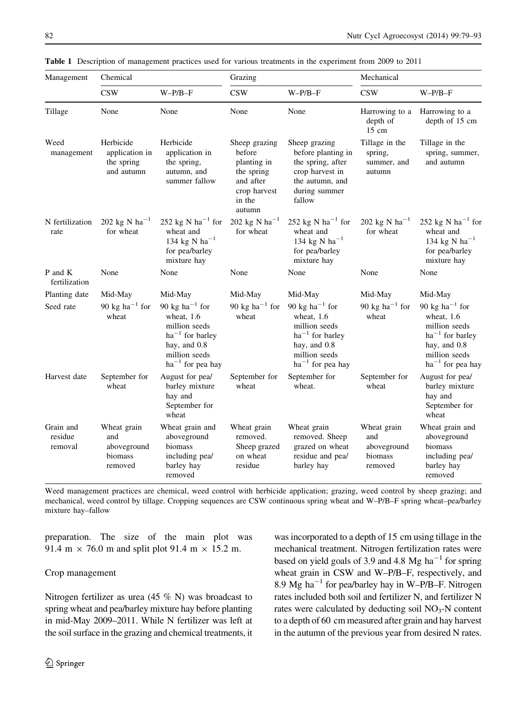| Management                      | Chemical                                                |                                                                                                                                                          | Grazing                                                                                               |                                                                                                                                                          | Mechanical                                              |                                                                                                                                                            |
|---------------------------------|---------------------------------------------------------|----------------------------------------------------------------------------------------------------------------------------------------------------------|-------------------------------------------------------------------------------------------------------|----------------------------------------------------------------------------------------------------------------------------------------------------------|---------------------------------------------------------|------------------------------------------------------------------------------------------------------------------------------------------------------------|
|                                 | <b>CSW</b>                                              | $W-P/B-F$                                                                                                                                                | <b>CSW</b>                                                                                            | $W-P/B-F$                                                                                                                                                | <b>CSW</b>                                              | $W-P/B-F$                                                                                                                                                  |
| Tillage                         | None                                                    | None                                                                                                                                                     | None                                                                                                  | None                                                                                                                                                     | Harrowing to a<br>depth of<br>$15 \text{ cm}$           | Harrowing to a<br>depth of 15 cm                                                                                                                           |
| Weed<br>management              | Herbicide<br>application in<br>the spring<br>and autumn | Herbicide<br>application in<br>the spring,<br>autumn, and<br>summer fallow                                                                               | Sheep grazing<br>before<br>planting in<br>the spring<br>and after<br>crop harvest<br>in the<br>autumn | Sheep grazing<br>before planting in<br>the spring, after<br>crop harvest in<br>the autumn, and<br>during summer<br>fallow                                | Tillage in the<br>spring,<br>summer, and<br>autumn      | Tillage in the<br>spring, summer,<br>and autumn                                                                                                            |
| N fertilization<br>rate         | 202 kg N ha <sup>-1</sup><br>for wheat                  | 252 kg N ha <sup>-1</sup> for<br>wheat and<br>134 kg N ha <sup>-1</sup><br>for pea/barley<br>mixture hay                                                 | 202 kg N $ha^{-1}$<br>for wheat                                                                       | 252 kg N ha <sup>-1</sup> for<br>wheat and<br>134 kg N ha <sup>-1</sup><br>for pea/barley<br>mixture hay                                                 | 202 kg N ha <sup>-1</sup><br>for wheat                  | 252 kg N ha <sup>-1</sup> for<br>wheat and<br>134 kg N ha <sup>-1</sup><br>for pea/barley<br>mixture hay                                                   |
| P and K<br>fertilization        | None                                                    | None                                                                                                                                                     | None                                                                                                  | None                                                                                                                                                     | None                                                    | None                                                                                                                                                       |
| Planting date                   | Mid-May                                                 | Mid-May                                                                                                                                                  | Mid-May                                                                                               | Mid-May                                                                                                                                                  | Mid-May                                                 | Mid-May                                                                                                                                                    |
| Seed rate                       | 90 kg ha <sup><math>-1</math></sup> for<br>wheat        | 90 kg ha <sup><math>-1</math></sup> for<br>wheat, 1.6<br>million seeds<br>$ha^{-1}$ for barley<br>hay, and 0.8<br>million seeds<br>$ha^{-1}$ for pea hay | 90 kg ha <sup><math>-1</math></sup> for<br>wheat                                                      | 90 kg ha <sup><math>-1</math></sup> for<br>wheat, 1.6<br>million seeds<br>$ha^{-1}$ for barley<br>hay, and 0.8<br>million seeds<br>$ha^{-1}$ for pea hay | 90 kg ha <sup><math>-1</math></sup> for<br>wheat        | 90 kg ha <sup><math>-1</math></sup> for<br>wheat, $1.6$<br>million seeds<br>$ha^{-1}$ for barley<br>hay, and 0.8<br>million seeds<br>$ha^{-1}$ for pea hay |
| Harvest date                    | September for<br>wheat                                  | August for pea/<br>barley mixture<br>hay and<br>September for<br>wheat                                                                                   | September for<br>wheat                                                                                | September for<br>wheat.                                                                                                                                  | September for<br>wheat                                  | August for pea/<br>barley mixture<br>hay and<br>September for<br>wheat                                                                                     |
| Grain and<br>residue<br>removal | Wheat grain<br>and<br>aboveground<br>biomass<br>removed | Wheat grain and<br>aboveground<br>biomass<br>including pea/<br>barley hay<br>removed                                                                     | Wheat grain<br>removed.<br>Sheep grazed<br>on wheat<br>residue                                        | Wheat grain<br>removed. Sheep<br>grazed on wheat<br>residue and pea/<br>barley hay                                                                       | Wheat grain<br>and<br>aboveground<br>biomass<br>removed | Wheat grain and<br>aboveground<br>biomass<br>including pea/<br>barley hay<br>removed                                                                       |

<span id="page-3-0"></span>Table 1 Description of management practices used for various treatments in the experiment from 2009 to 2011

Weed management practices are chemical, weed control with herbicide application; grazing, weed control by sheep grazing; and mechanical, weed control by tillage. Cropping sequences are CSW continuous spring wheat and W–P/B–F spring wheat–pea/barley mixture hay–fallow

preparation. The size of the main plot was 91.4 m  $\times$  76.0 m and split plot 91.4 m  $\times$  15.2 m.

# Crop management

Nitrogen fertilizer as urea (45 % N) was broadcast to spring wheat and pea/barley mixture hay before planting in mid-May 2009–2011. While N fertilizer was left at the soil surface in the grazing and chemical treatments, it was incorporated to a depth of 15 cm using tillage in the mechanical treatment. Nitrogen fertilization rates were based on yield goals of 3.9 and 4.8 Mg ha<sup>-1</sup> for spring wheat grain in CSW and W–P/B–F, respectively, and 8.9 Mg ha<sup> $-1$ </sup> for pea/barley hay in W–P/B–F. Nitrogen rates included both soil and fertilizer N, and fertilizer N rates were calculated by deducting soil  $NO<sub>3</sub>-N$  content to a depth of 60 cm measured after grain and hay harvest in the autumn of the previous year from desired N rates.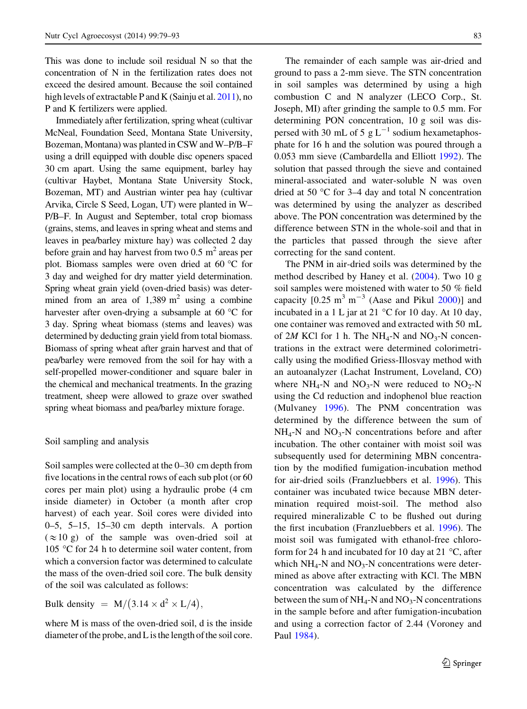This was done to include soil residual N so that the concentration of N in the fertilization rates does not exceed the desired amount. Because the soil contained high levels of extractable P and K (Sainju et al. [2011](#page-14-0)), no P and K fertilizers were applied.

Immediately after fertilization, spring wheat (cultivar McNeal, Foundation Seed, Montana State University, Bozeman, Montana) was planted in CSW and W–P/B–F using a drill equipped with double disc openers spaced 30 cm apart. Using the same equipment, barley hay (cultivar Haybet, Montana State University Stock, Bozeman, MT) and Austrian winter pea hay (cultivar Arvika, Circle S Seed, Logan, UT) were planted in W– P/B–F. In August and September, total crop biomass (grains, stems, and leaves in spring wheat and stems and leaves in pea/barley mixture hay) was collected 2 day before grain and hay harvest from two  $0.5 \text{ m}^2$  areas per plot. Biomass samples were oven dried at 60  $\degree$ C for 3 day and weighed for dry matter yield determination. Spring wheat grain yield (oven-dried basis) was determined from an area of  $1,389 \text{ m}^2$  using a combine harvester after oven-drying a subsample at 60  $\degree$ C for 3 day. Spring wheat biomass (stems and leaves) was determined by deducting grain yield from total biomass. Biomass of spring wheat after grain harvest and that of pea/barley were removed from the soil for hay with a self-propelled mower-conditioner and square baler in the chemical and mechanical treatments. In the grazing treatment, sheep were allowed to graze over swathed spring wheat biomass and pea/barley mixture forage.

Soil sampling and analysis

Soil samples were collected at the 0–30 cm depth from five locations in the central rows of each sub plot (or 60 cores per main plot) using a hydraulic probe (4 cm inside diameter) in October (a month after crop harvest) of each year. Soil cores were divided into 0–5, 5–15, 15–30 cm depth intervals. A portion  $(\approx 10 \text{ g})$  of the sample was oven-dried soil at 105  $\degree$ C for 24 h to determine soil water content, from which a conversion factor was determined to calculate the mass of the oven-dried soil core. The bulk density of the soil was calculated as follows:

Bulk density =  $M/(3.14 \times d^2 \times L/4)$ ,

where M is mass of the oven-dried soil, d is the inside diameter of the probe, and L is the length of the soil core.

The remainder of each sample was air-dried and ground to pass a 2-mm sieve. The STN concentration in soil samples was determined by using a high combustion C and N analyzer (LECO Corp., St. Joseph, MI) after grinding the sample to 0.5 mm. For determining PON concentration, 10 g soil was dispersed with 30 mL of 5  $g L^{-1}$  sodium hexametaphosphate for 16 h and the solution was poured through a 0.053 mm sieve (Cambardella and Elliott [1992\)](#page-14-0). The solution that passed through the sieve and contained mineral-associated and water-soluble N was oven dried at 50  $\degree$ C for 3–4 day and total N concentration was determined by using the analyzer as described above. The PON concentration was determined by the difference between STN in the whole-soil and that in the particles that passed through the sieve after correcting for the sand content.

The PNM in air-dried soils was determined by the method described by Haney et al. ([2004\)](#page-14-0). Two 10 g soil samples were moistened with water to 50 % field capacity  $[0.25 \text{ m}^3 \text{ m}^{-3}$  (Aase and Pikul [2000](#page-14-0))] and incubated in a 1 L jar at 21  $\degree$ C for 10 day. At 10 day, one container was removed and extracted with 50 mL of 2M KCl for 1 h. The NH<sub>4</sub>-N and NO<sub>3</sub>-N concentrations in the extract were determined colorimetrically using the modified Griess-Illosvay method with an autoanalyzer (Lachat Instrument, Loveland, CO) where  $NH_4$ -N and  $NO_3$ -N were reduced to  $NO_2$ -N using the Cd reduction and indophenol blue reaction (Mulvaney [1996\)](#page-14-0). The PNM concentration was determined by the difference between the sum of  $NH_4$ -N and  $NO_3$ -N concentrations before and after incubation. The other container with moist soil was subsequently used for determining MBN concentration by the modified fumigation-incubation method for air-dried soils (Franzluebbers et al. [1996](#page-14-0)). This container was incubated twice because MBN determination required moist-soil. The method also required mineralizable C to be flushed out during the first incubation (Franzluebbers et al. [1996](#page-14-0)). The moist soil was fumigated with ethanol-free chloroform for 24 h and incubated for 10 day at 21  $\degree$ C, after which  $NH_4$ -N and  $NO_3$ -N concentrations were determined as above after extracting with KCl. The MBN concentration was calculated by the difference between the sum of  $NH_4$ -N and  $NO_3$ -N concentrations in the sample before and after fumigation-incubation and using a correction factor of 2.44 (Voroney and Paul [1984\)](#page-14-0).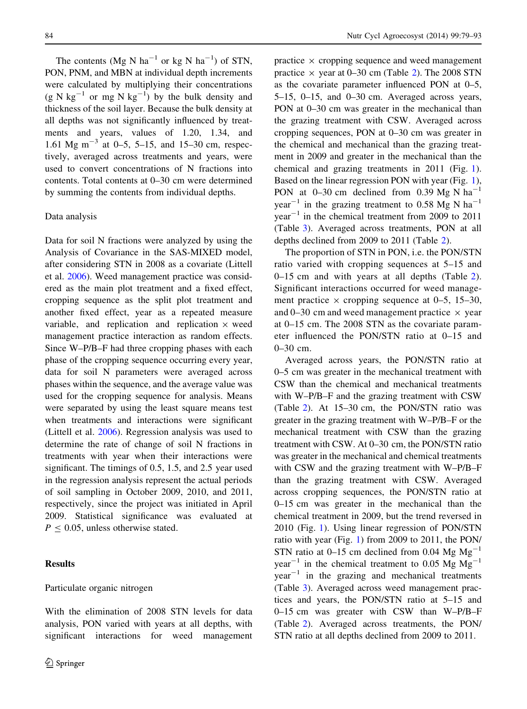The contents (Mg N ha<sup>-1</sup> or kg N ha<sup>-1</sup>) of STN, PON, PNM, and MBN at individual depth increments were calculated by multiplying their concentrations  $(g N kg^{-1}$  or mg N kg<sup>-1</sup>) by the bulk density and thickness of the soil layer. Because the bulk density at all depths was not significantly influenced by treatments and years, values of 1.20, 1.34, and 1.61 Mg m<sup>-3</sup> at 0-5, 5-15, and 15-30 cm, respectively, averaged across treatments and years, were used to convert concentrations of N fractions into contents. Total contents at 0–30 cm were determined by summing the contents from individual depths.

# Data analysis

Data for soil N fractions were analyzed by using the Analysis of Covariance in the SAS-MIXED model, after considering STN in 2008 as a covariate (Littell et al. [2006\)](#page-14-0). Weed management practice was considered as the main plot treatment and a fixed effect, cropping sequence as the split plot treatment and another fixed effect, year as a repeated measure variable, and replication and replication  $\times$  weed management practice interaction as random effects. Since W–P/B–F had three cropping phases with each phase of the cropping sequence occurring every year, data for soil N parameters were averaged across phases within the sequence, and the average value was used for the cropping sequence for analysis. Means were separated by using the least square means test when treatments and interactions were significant (Littell et al. [2006\)](#page-14-0). Regression analysis was used to determine the rate of change of soil N fractions in treatments with year when their interactions were significant. The timings of 0.5, 1.5, and 2.5 year used in the regression analysis represent the actual periods of soil sampling in October 2009, 2010, and 2011, respectively, since the project was initiated in April 2009. Statistical significance was evaluated at  $P < 0.05$ , unless otherwise stated.

# **Results**

#### Particulate organic nitrogen

With the elimination of 2008 STN levels for data analysis, PON varied with years at all depths, with significant interactions for weed management practice  $\times$  cropping sequence and weed management practice  $\times$  year at 0–30 cm (Table [2\)](#page-6-0). The 2008 STN as the covariate parameter influenced PON at 0–5, 5–15, 0–15, and 0–30 cm. Averaged across years, PON at 0–30 cm was greater in the mechanical than the grazing treatment with CSW. Averaged across cropping sequences, PON at 0–30 cm was greater in the chemical and mechanical than the grazing treatment in 2009 and greater in the mechanical than the chemical and grazing treatments in 2011 (Fig. [1](#page-7-0)). Based on the linear regression PON with year (Fig. [1](#page-7-0)), PON at 0–30 cm declined from 0.39 Mg N  $ha^{-1}$ year<sup>-1</sup> in the grazing treatment to 0.58 Mg N ha<sup>-1</sup>  $year^{-1}$  in the chemical treatment from 2009 to 2011 (Table [3](#page-8-0)). Averaged across treatments, PON at all depths declined from 2009 to 2011 (Table [2](#page-6-0)).

The proportion of STN in PON, i.e. the PON/STN ratio varied with cropping sequences at 5–15 and 0–15 cm and with years at all depths (Table [2](#page-6-0)). Significant interactions occurred for weed management practice  $\times$  cropping sequence at 0–5, 15–30, and 0–30 cm and weed management practice  $\times$  year at 0–15 cm. The 2008 STN as the covariate parameter influenced the PON/STN ratio at 0–15 and 0–30 cm.

Averaged across years, the PON/STN ratio at 0–5 cm was greater in the mechanical treatment with CSW than the chemical and mechanical treatments with W–P/B–F and the grazing treatment with CSW (Table [2](#page-6-0)). At 15–30 cm, the PON/STN ratio was greater in the grazing treatment with W–P/B–F or the mechanical treatment with CSW than the grazing treatment with CSW. At 0–30 cm, the PON/STN ratio was greater in the mechanical and chemical treatments with CSW and the grazing treatment with W–P/B–F than the grazing treatment with CSW. Averaged across cropping sequences, the PON/STN ratio at 0–15 cm was greater in the mechanical than the chemical treatment in 2009, but the trend reversed in 2010 (Fig. [1](#page-7-0)). Using linear regression of PON/STN ratio with year (Fig. [1\)](#page-7-0) from 2009 to 2011, the PON/ STN ratio at 0–15 cm declined from 0.04 Mg  $Mg^{-1}$ year<sup>-1</sup> in the chemical treatment to 0.05 Mg  $Mg^{-1}$  $year<sup>-1</sup>$  in the grazing and mechanical treatments (Table [3](#page-8-0)). Averaged across weed management practices and years, the PON/STN ratio at 5–15 and 0–15 cm was greater with CSW than W–P/B–F (Table [2](#page-6-0)). Averaged across treatments, the PON/ STN ratio at all depths declined from 2009 to 2011.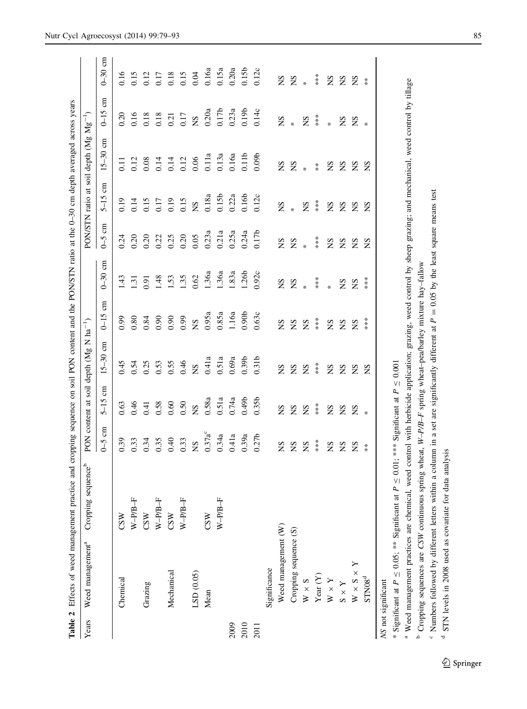<span id="page-6-0"></span>

|       | Table 2 Effects of weed management practice and cropping sequence on soil PON content and the PON/STN ratio at the 0-30 cm depth averaged across years |                                |                            |                                            |                                                    |                   |               |                          |                                            |                                   |                        |                                                 |
|-------|--------------------------------------------------------------------------------------------------------------------------------------------------------|--------------------------------|----------------------------|--------------------------------------------|----------------------------------------------------|-------------------|---------------|--------------------------|--------------------------------------------|-----------------------------------|------------------------|-------------------------------------------------|
| Years | Weed management <sup>a</sup>                                                                                                                           | Cropping sequence <sup>b</sup> |                            |                                            | PON content at soil depth (Mg N ha <sup>-1</sup> ) |                   |               | PON/STN ratio at         |                                            | soil depth (Mg Mg <sup>-1</sup> ) |                        |                                                 |
|       |                                                                                                                                                        |                                | g<br>$6-5$                 | g<br>$5 - 15$                              | $\epsilon$<br>$15 - 30$                            | g<br>$0 - 15$     | g<br>$0 - 30$ | $\epsilon$<br>$\zeta$ -0 | E<br>$5 - 15$                              | g<br>$15 - 30$                    | E<br>$0 - 15$          | $0-30$ cm                                       |
|       | Chemical                                                                                                                                               | CSW                            | 0.39                       | 0.63                                       | 0.45                                               | 0.99              | 1.43          | 0.24                     | 0.19                                       | $\overline{0}$                    | 0.20                   | 0.16                                            |
|       |                                                                                                                                                        | $W-PPB-F$                      | 0.33                       | 0.46                                       | 0.54                                               | 0.80              | 1.31          | 0.20                     | 0.14                                       | 0.12                              | 0.16                   | 0.15                                            |
|       | Grazing                                                                                                                                                | CSW                            | 0.34                       | 0.41                                       | 0.25                                               | 0.84              | 0.91          | 0.20                     | 0.15                                       | 0.08                              | 0.18                   | 0.12                                            |
|       |                                                                                                                                                        | $W-PPB-F$                      | 0.35                       | 0.58                                       | 0.53                                               | 0.90              | 1.48          | 0.22                     |                                            | 0.14                              |                        |                                                 |
|       | Mechanical                                                                                                                                             | CSW                            | 0.40                       | 0.60                                       | 0.55                                               | 0.90              | 1.53          | 0.25                     | $0.17$<br>0.19                             | 0.14                              | $\frac{0.18}{0.21}$    |                                                 |
|       |                                                                                                                                                        | $W-PPB-F$                      | 0.33                       | 0.50                                       | 0.46                                               | 0.99              | 1.35          | 0.20                     | 0.15                                       | 0.12                              | 0.17                   |                                                 |
|       | LSD (0.05)                                                                                                                                             |                                | $\mathbf{S}\mathbf{N}$     | $\mathbf{S}$                               | $\mathbf{S}$                                       | SN                | 0.62          | 0.05                     | $_{\rm 0.18a}^{\rm NS}$                    | $0.06\,$                          | $\mathbf{S}$           | $0.17$<br>$0.18$<br>$0.15$<br>$0.04$<br>$0.16a$ |
|       | Mean                                                                                                                                                   | CSW                            | $0.37a^c$                  | 0.58a                                      | 0.41a                                              | 0.95a             | 1.36a         | 0.23a                    |                                            | $0.11a$                           | 0.20a                  |                                                 |
|       |                                                                                                                                                        | $W-PPB-F$                      | 0.34a                      | 0.51a                                      | 0.51a                                              | 0.85a             | 1.36a         | 0.21a                    | 0.15 <sub>b</sub>                          | 0.13a                             | 0.17 <sub>b</sub>      | 0.15a                                           |
| 2009  |                                                                                                                                                        |                                | 0.41a                      | 0.74a                                      | 0.69a                                              | 1.16a             | 1.83a         | 0.25a                    | 0.22a                                      | 0.16a                             | 0.23a                  | 0.20a                                           |
| 2010  |                                                                                                                                                        |                                | 0.39a                      | 0.49 <sub>b</sub>                          | 0.39 <sub>b</sub>                                  | 0.90 <sub>b</sub> | 1.26b         | 0.24a                    | 0.16 <sub>b</sub>                          | 0.11 <sub>b</sub>                 | 0.19 <sub>b</sub>      | 0.15 <sub>b</sub>                               |
| 2011  |                                                                                                                                                        |                                | 0.27 <sub>b</sub>          | 0.35 <sub>b</sub>                          | 0.31 <sub>b</sub>                                  | 0.63c             | 0.92c         | 0.17 <sub>b</sub>        | 0.12c                                      | 0.09 <sub>b</sub>                 | 0.14c                  | 0.12c                                           |
|       | Significance                                                                                                                                           |                                |                            |                                            |                                                    |                   |               |                          |                                            |                                   |                        |                                                 |
|       | Weed management (W)                                                                                                                                    |                                | $S_{\rm N}$                | SN                                         | $\mathbf{S}\mathbf{N}$                             | SN                | SN            | SN                       | SN                                         | SN                                | $\mathbf{S}\mathbf{N}$ | SN                                              |
|       | Cropping sequence (S)                                                                                                                                  |                                | SN                         | SN                                         | SN                                                 |                   | $Z *$         | $Z *$                    | $*$                                        | $\mathbf{g}$ $_{*}$               | $\ast$                 | $\mathbf{S}$ $*$                                |
|       | $W \times S$                                                                                                                                           |                                | $\mathbf{S}$               | $\mathbf{S}$                               | $\mathbf{S}$                                       | SX<br>SX          |               |                          | $\mathbf{S}$                               |                                   | SN                     |                                                 |
|       | Year $(Y)$                                                                                                                                             |                                | $***$                      | $\begin{array}{l} * \\ * \\ * \end{array}$ | $***$                                              | $***$             | $***$         | $***$                    | $\begin{array}{l} * \\ * \\ * \end{array}$ | $\stackrel{*}{\ast}$              | $***$                  | $***$                                           |
|       | $W$ $\times$ $Y$                                                                                                                                       |                                | SN                         | SN                                         | SN                                                 | SN                | $\ast$        | SN                       | SN                                         |                                   | $\star$                | SN                                              |
|       | $X\times S$                                                                                                                                            |                                | SN                         | S                                          | SN                                                 | SN                | SN            | SN                       | S                                          | <b>E</b> E E                      |                        | <b>S</b> S                                      |
|       | $W \times S \times Y$                                                                                                                                  |                                | SN                         | $_{\rm NS}$                                | SN                                                 | SN                | SN            | SN                       | $_{\rm NS}$                                |                                   | S S                    |                                                 |
|       | STN08 <sup>d</sup>                                                                                                                                     |                                | $\stackrel{*}{*}$          | $\ast$                                     | SN                                                 | ***               | $***$         | SN                       | SN                                         | SN                                | $\ast$                 | $\stackrel{*}{*}$                               |
|       | * Significant at $P \leq 0.05$ ; ** Significant at P<br>NS not significant                                                                             | $\vee$                         | 0.01; *** Significant at P |                                            | $\leq 0.001$                                       |                   |               |                          |                                            |                                   |                        |                                                 |

<sup>a</sup> Weed management practices are chemical, weed control with herbicide application; grazing, weed control by sheep grazing; and mechanical, weed control by tillage Weed management practices are chemical, weed control with herbicide application; grazing, weed control by sheep grazing; and mechanical, weed control by tillage <sup>b</sup> Cropping sequences are CSW continuous spring wheat, W-P/B-F spring wheat-pea/barley mixture hay-fallow <sup>b</sup> Cropping sequences are CSW continuous spring wheat,  $W-P/B-F$  spring wheat–pea/barley mixture hay–fallow

<sup>c</sup> Numbers followed by different letters within a column in a set are significantly different at  $P = 0.05$  by the least square means test <sup>o</sup> Numbers followed by different letters within a column in a set are significantly different at  $P = 0.05$  by the least square means test

<sup>d</sup> STN levels in 2008 used as covariate for data analysis STN levels in 2008 used as covariate for data analysis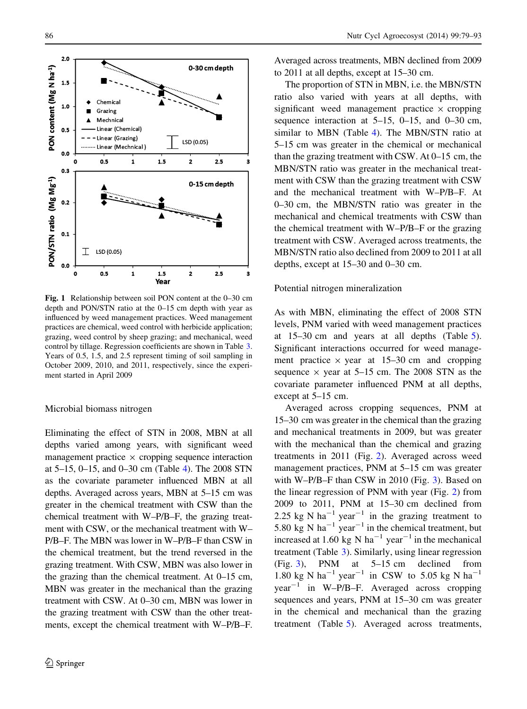<span id="page-7-0"></span>

Fig. 1 Relationship between soil PON content at the 0–30 cm depth and PON/STN ratio at the 0–15 cm depth with year as influenced by weed management practices. Weed management practices are chemical, weed control with herbicide application; grazing, weed control by sheep grazing; and mechanical, weed control by tillage. Regression coefficients are shown in Table [3](#page-8-0). Years of 0.5, 1.5, and 2.5 represent timing of soil sampling in October 2009, 2010, and 2011, respectively, since the experiment started in April 2009

# Microbial biomass nitrogen

Eliminating the effect of STN in 2008, MBN at all depths varied among years, with significant weed management practice  $\times$  cropping sequence interaction at 5–15, 0–15, and 0–30 cm (Table [4\)](#page-10-0). The 2008 STN as the covariate parameter influenced MBN at all depths. Averaged across years, MBN at 5–15 cm was greater in the chemical treatment with CSW than the chemical treatment with W–P/B–F, the grazing treatment with CSW, or the mechanical treatment with W– P/B–F. The MBN was lower in W–P/B–F than CSW in the chemical treatment, but the trend reversed in the grazing treatment. With CSW, MBN was also lower in the grazing than the chemical treatment. At 0–15 cm, MBN was greater in the mechanical than the grazing treatment with CSW. At 0–30 cm, MBN was lower in the grazing treatment with CSW than the other treatments, except the chemical treatment with W–P/B–F. Averaged across treatments, MBN declined from 2009 to 2011 at all depths, except at 15–30 cm.

The proportion of STN in MBN, i.e. the MBN/STN ratio also varied with years at all depths, with significant weed management practice  $\times$  cropping sequence interaction at  $5-15$ ,  $0-15$ , and  $0-30$  cm, similar to MBN (Table [4](#page-10-0)). The MBN/STN ratio at 5–15 cm was greater in the chemical or mechanical than the grazing treatment with CSW. At 0–15 cm, the MBN/STN ratio was greater in the mechanical treatment with CSW than the grazing treatment with CSW and the mechanical treatment with W–P/B–F. At 0–30 cm, the MBN/STN ratio was greater in the mechanical and chemical treatments with CSW than the chemical treatment with W–P/B–F or the grazing treatment with CSW. Averaged across treatments, the MBN/STN ratio also declined from 2009 to 2011 at all depths, except at 15–30 and 0–30 cm.

#### Potential nitrogen mineralization

As with MBN, eliminating the effect of 2008 STN levels, PNM varied with weed management practices at 15–30 cm and years at all depths (Table [5](#page-11-0)). Significant interactions occurred for weed management practice  $\times$  year at 15–30 cm and cropping sequence  $\times$  year at 5–15 cm. The 2008 STN as the covariate parameter influenced PNM at all depths, except at 5–15 cm.

Averaged across cropping sequences, PNM at 15–30 cm was greater in the chemical than the grazing and mechanical treatments in 2009, but was greater with the mechanical than the chemical and grazing treatments in 2011 (Fig. [2\)](#page-12-0). Averaged across weed management practices, PNM at 5–15 cm was greater with W–P/B–F than CSW in 2010 (Fig. [3](#page-13-0)). Based on the linear regression of PNM with year (Fig. [2\)](#page-12-0) from 2009 to 2011, PNM at 15–30 cm declined from 2.25 kg N ha<sup>-1</sup> year<sup>-1</sup> in the grazing treatment to 5.80 kg N ha<sup>-1</sup> year<sup>-1</sup> in the chemical treatment, but increased at 1.60 kg N ha<sup>-1</sup> year<sup>-1</sup> in the mechanical treatment (Table [3\)](#page-8-0). Similarly, using linear regression (Fig. [3](#page-13-0)), PNM at 5–15 cm declined from 1.80 kg N ha<sup>-1</sup> year<sup>-1</sup> in CSW to 5.05 kg N ha<sup>-1</sup>  $year^{-1}$  in W–P/B–F. Averaged across cropping sequences and years, PNM at 15–30 cm was greater in the chemical and mechanical than the grazing treatment (Table [5\)](#page-11-0). Averaged across treatments,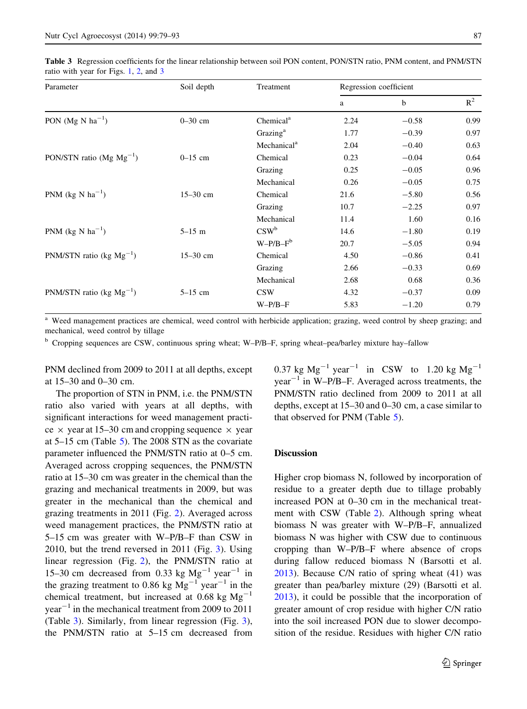<span id="page-8-0"></span>Table 3 Regression coefficients for the linear relationship between soil PON content, PON/STN ratio, PNM content, and PNM/STN ratio with year for Figs. [1,](#page-7-0) [2](#page-12-0), and [3](#page-13-0)

| Parameter                              | Soil depth   | Treatment               | Regression coefficient |             |       |
|----------------------------------------|--------------|-------------------------|------------------------|-------------|-------|
|                                        |              |                         | a                      | $\mathbf b$ | $R^2$ |
| PON (Mg N $ha^{-1}$ )                  | $0 - 30$ cm  | Chemical <sup>a</sup>   | 2.24                   | $-0.58$     | 0.99  |
|                                        |              | Grazing <sup>a</sup>    | 1.77                   | $-0.39$     | 0.97  |
|                                        |              | Mechanical <sup>a</sup> | 2.04                   | $-0.40$     | 0.63  |
| PON/STN ratio (Mg $Mg^{-1}$ )          | $0-15$ cm    | Chemical                | 0.23                   | $-0.04$     | 0.64  |
|                                        |              | Grazing                 | 0.25                   | $-0.05$     | 0.96  |
|                                        |              | Mechanical              | 0.26                   | $-0.05$     | 0.75  |
| PNM ( $kg \text{ N} \text{ ha}^{-1}$ ) | $15 - 30$ cm | Chemical                | 21.6                   | $-5.80$     | 0.56  |
|                                        |              | Grazing                 | 10.7                   | $-2.25$     | 0.97  |
|                                        |              | Mechanical              | 11.4                   | 1.60        | 0.16  |
| PNM (kg N $ha^{-1}$ )                  | $5 - 15$ m   | $CSW^b$                 | 14.6                   | $-1.80$     | 0.19  |
|                                        |              | $W-P/B-F^b$             | 20.7                   | $-5.05$     | 0.94  |
| PNM/STN ratio (kg $Mg^{-1}$ )          | $15 - 30$ cm | Chemical                | 4.50                   | $-0.86$     | 0.41  |
|                                        |              | Grazing                 | 2.66                   | $-0.33$     | 0.69  |
|                                        |              | Mechanical              | 2.68                   | 0.68        | 0.36  |
| PNM/STN ratio (kg $Mg^{-1}$ )          | $5-15$ cm    | <b>CSW</b>              | 4.32                   | $-0.37$     | 0.09  |
|                                        |              | $W-P/B-F$               | 5.83                   | $-1.20$     | 0.79  |
|                                        |              |                         |                        |             |       |

Weed management practices are chemical, weed control with herbicide application; grazing, weed control by sheep grazing; and mechanical, weed control by tillage

<sup>b</sup> Cropping sequences are CSW, continuous spring wheat; W–P/B–F, spring wheat–pea/barley mixture hay–fallow

PNM declined from 2009 to 2011 at all depths, except at 15–30 and 0–30 cm.

The proportion of STN in PNM, i.e. the PNM/STN ratio also varied with years at all depths, with significant interactions for weed management practice  $\times$  year at 15–30 cm and cropping sequence  $\times$  year at 5–15 cm (Table [5](#page-11-0)). The 2008 STN as the covariate parameter influenced the PNM/STN ratio at 0–5 cm. Averaged across cropping sequences, the PNM/STN ratio at 15–30 cm was greater in the chemical than the grazing and mechanical treatments in 2009, but was greater in the mechanical than the chemical and grazing treatments in 2011 (Fig. [2](#page-12-0)). Averaged across weed management practices, the PNM/STN ratio at 5–15 cm was greater with W–P/B–F than CSW in 2010, but the trend reversed in 2011 (Fig. [3\)](#page-13-0). Using linear regression (Fig. [2\)](#page-12-0), the PNM/STN ratio at 15–30 cm decreased from 0.33 kg  $Mg^{-1}$  year<sup>-1</sup> in the grazing treatment to 0.86 kg  $Mg^{-1}$  year<sup>-1</sup> in the chemical treatment, but increased at 0.68 kg  $Mg^{-1}$  $year<sup>-1</sup>$  in the mechanical treatment from 2009 to 2011 (Table 3). Similarly, from linear regression (Fig. [3](#page-13-0)), the PNM/STN ratio at 5–15 cm decreased from 0.37 kg  $Mg^{-1}$  year<sup>-1</sup> in CSW to 1.20 kg  $Mg^{-1}$  $year<sup>-1</sup>$  in W–P/B–F. Averaged across treatments, the PNM/STN ratio declined from 2009 to 2011 at all depths, except at 15–30 and 0–30 cm, a case similar to that observed for PNM (Table [5\)](#page-11-0).

#### **Discussion**

Higher crop biomass N, followed by incorporation of residue to a greater depth due to tillage probably increased PON at 0–30 cm in the mechanical treatment with CSW (Table [2](#page-6-0)). Although spring wheat biomass N was greater with W–P/B–F, annualized biomass N was higher with CSW due to continuous cropping than W–P/B–F where absence of crops during fallow reduced biomass N (Barsotti et al. [2013\)](#page-14-0). Because C/N ratio of spring wheat (41) was greater than pea/barley mixture (29) (Barsotti et al. [2013\)](#page-14-0), it could be possible that the incorporation of greater amount of crop residue with higher C/N ratio into the soil increased PON due to slower decomposition of the residue. Residues with higher C/N ratio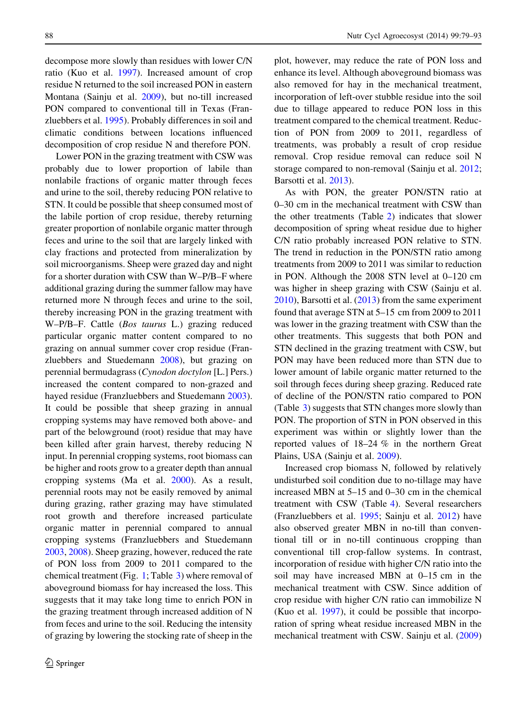decompose more slowly than residues with lower C/N ratio (Kuo et al. [1997](#page-14-0)). Increased amount of crop residue N returned to the soil increased PON in eastern Montana (Sainju et al. [2009](#page-14-0)), but no-till increased PON compared to conventional till in Texas (Franzluebbers et al. [1995\)](#page-14-0). Probably differences in soil and climatic conditions between locations influenced decomposition of crop residue N and therefore PON.

Lower PON in the grazing treatment with CSW was probably due to lower proportion of labile than nonlabile fractions of organic matter through feces and urine to the soil, thereby reducing PON relative to STN. It could be possible that sheep consumed most of the labile portion of crop residue, thereby returning greater proportion of nonlabile organic matter through feces and urine to the soil that are largely linked with clay fractions and protected from mineralization by soil microorganisms. Sheep were grazed day and night for a shorter duration with CSW than W–P/B–F where additional grazing during the summer fallow may have returned more N through feces and urine to the soil, thereby increasing PON in the grazing treatment with W–P/B–F. Cattle (Bos taurus L.) grazing reduced particular organic matter content compared to no grazing on annual summer cover crop residue (Franzluebbers and Stuedemann [2008](#page-14-0)), but grazing on perennial bermudagrass (Cynodon doctylon [L.] Pers.) increased the content compared to non-grazed and hayed residue (Franzluebbers and Stuedemann [2003](#page-14-0)). It could be possible that sheep grazing in annual cropping systems may have removed both above- and part of the belowground (root) residue that may have been killed after grain harvest, thereby reducing N input. In perennial cropping systems, root biomass can be higher and roots grow to a greater depth than annual cropping systems (Ma et al. [2000\)](#page-14-0). As a result, perennial roots may not be easily removed by animal during grazing, rather grazing may have stimulated root growth and therefore increased particulate organic matter in perennial compared to annual cropping systems (Franzluebbers and Stuedemann [2003,](#page-14-0) [2008](#page-14-0)). Sheep grazing, however, reduced the rate of PON loss from 2009 to 2011 compared to the chemical treatment (Fig. [1](#page-7-0); Table [3\)](#page-8-0) where removal of aboveground biomass for hay increased the loss. This suggests that it may take long time to enrich PON in the grazing treatment through increased addition of N from feces and urine to the soil. Reducing the intensity of grazing by lowering the stocking rate of sheep in the

plot, however, may reduce the rate of PON loss and enhance its level. Although aboveground biomass was also removed for hay in the mechanical treatment, incorporation of left-over stubble residue into the soil due to tillage appeared to reduce PON loss in this treatment compared to the chemical treatment. Reduction of PON from 2009 to 2011, regardless of treatments, was probably a result of crop residue removal. Crop residue removal can reduce soil N storage compared to non-removal (Sainju et al. [2012;](#page-14-0) Barsotti et al. [2013\)](#page-14-0).

As with PON, the greater PON/STN ratio at 0–30 cm in the mechanical treatment with CSW than the other treatments (Table [2\)](#page-6-0) indicates that slower decomposition of spring wheat residue due to higher C/N ratio probably increased PON relative to STN. The trend in reduction in the PON/STN ratio among treatments from 2009 to 2011 was similar to reduction in PON. Although the 2008 STN level at 0–120 cm was higher in sheep grazing with CSW (Sainju et al. [2010\)](#page-14-0), Barsotti et al. [\(2013](#page-14-0)) from the same experiment found that average STN at 5–15 cm from 2009 to 2011 was lower in the grazing treatment with CSW than the other treatments. This suggests that both PON and STN declined in the grazing treatment with CSW, but PON may have been reduced more than STN due to lower amount of labile organic matter returned to the soil through feces during sheep grazing. Reduced rate of decline of the PON/STN ratio compared to PON (Table [3](#page-8-0)) suggests that STN changes more slowly than PON. The proportion of STN in PON observed in this experiment was within or slightly lower than the reported values of 18–24 % in the northern Great Plains, USA (Sainju et al. [2009\)](#page-14-0).

Increased crop biomass N, followed by relatively undisturbed soil condition due to no-tillage may have increased MBN at 5–15 and 0–30 cm in the chemical treatment with CSW (Table [4](#page-10-0)). Several researchers (Franzluebbers et al. [1995](#page-14-0); Sainju et al. [2012](#page-14-0)) have also observed greater MBN in no-till than conventional till or in no-till continuous cropping than conventional till crop-fallow systems. In contrast, incorporation of residue with higher C/N ratio into the soil may have increased MBN at 0–15 cm in the mechanical treatment with CSW. Since addition of crop residue with higher C/N ratio can immobilize N (Kuo et al. [1997](#page-14-0)), it could be possible that incorporation of spring wheat residue increased MBN in the mechanical treatment with CSW. Sainju et al. ([2009\)](#page-14-0)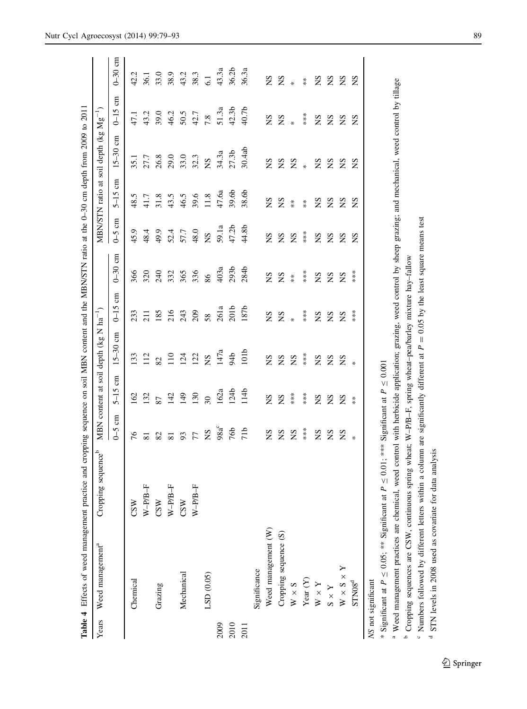<span id="page-10-0"></span>

|       | Table 4 Effects of weed management practice and cropping sequence on soil MBN content and the MBN/STN ratio at the 0-30 cm depth from 2009 to 2011 |                                |                                                        |                                                 |                                            |                     |                   |                          |                      |                            |                                            |                                      |
|-------|----------------------------------------------------------------------------------------------------------------------------------------------------|--------------------------------|--------------------------------------------------------|-------------------------------------------------|--------------------------------------------|---------------------|-------------------|--------------------------|----------------------|----------------------------|--------------------------------------------|--------------------------------------|
| Years | Weed management <sup>a</sup>                                                                                                                       | Cropping sequence <sup>b</sup> | <b>MBN</b>                                             | content at                                      | soil depth (kg N                           | $\cdot$ ha $^{-1})$ |                   | MBN/STN ratio            | $\ddot{a}$           | soil depth $(kg\ Mg^{-1})$ |                                            |                                      |
|       |                                                                                                                                                    |                                | $\epsilon$<br>$\zeta$                                  | $\epsilon$<br>$5 - 15$                          | $\epsilon$<br>$15 - 30$                    | g<br>$0 - 15$       | E<br>$0 - 30$     | $\epsilon$<br>$\zeta$ -0 | g<br>$5 - 15$        | $\epsilon$<br>$15 - 30$    | $\epsilon$<br>$0 - 15$                     | $0-30$ cm                            |
|       | Chemical                                                                                                                                           | CSW                            | 97                                                     | 162                                             | 133                                        | 233                 | 366               | 45.9                     | 48.5                 | 35.1                       | 47.1                                       | 42.2                                 |
|       |                                                                                                                                                    | $W-PPB-F$                      | $\overline{81}$                                        | 132                                             | 112                                        | 211                 | 320               | 48.4                     | 41.7                 | 27.7                       | 43.2                                       | 36.1                                 |
|       | Grazing                                                                                                                                            | CSW                            |                                                        | 87                                              |                                            | 185                 | 240               | 49.9                     | 31.8                 |                            | 39.0                                       |                                      |
|       |                                                                                                                                                    | $W-PPB-F$                      |                                                        |                                                 | $\frac{2}{110}$                            |                     |                   |                          | 43.5                 |                            |                                            |                                      |
|       | Mechanical                                                                                                                                         | CSW                            | $\begin{array}{c} 22 \\ 24 \\ 25 \\ 36 \\ \end{array}$ | $142$<br>$149$<br>$150$                         | 124                                        | 215<br>215<br>209   | 335<br>365<br>336 | 52.4<br>57.7             | 46.5                 | 26.8<br>29.0<br>33.0       | $46.2$<br>$50.5$<br>$42.7$                 | $33.0$<br>$38.3$<br>$43.3$<br>$38.3$ |
|       |                                                                                                                                                    | $W-PPB-F$                      |                                                        |                                                 | 122                                        |                     |                   | 48.0                     | 39.6                 | 32.3                       |                                            |                                      |
|       | LSD (0.05)                                                                                                                                         |                                | $\mathbf{S}$                                           | $\overline{\omega}$                             | $\mathbf{S}$                               | 58                  | $86\,$            | $S_{N}$                  | 11.8                 | $\mathbf{S}$               | 7.8                                        | 6.1                                  |
| 2009  |                                                                                                                                                    |                                | $98a^c$                                                | 162                                             | 147a                                       | 261a                | 403a              | 59.1a                    | 47.6a                | 34.3a                      | 51.3a                                      | 43.3a                                |
| 2010  |                                                                                                                                                    |                                | 76b                                                    | 124 <sub>b</sub>                                | 94b                                        | 201 <sub>b</sub>    | 293 <sub>t</sub>  | 47.2b                    | 39.6b                | 27.3b                      | 42.3 <sub>b</sub>                          | 36.2 <sub>b</sub>                    |
| 2011  |                                                                                                                                                    |                                | 71 <sub>b</sub>                                        | 114 <sub>b</sub>                                | 101 <sub>b</sub>                           | 187b                | 284b              | 44.8b                    | 38.6b                | 30.4ab                     | 40.7 <sub>b</sub>                          | 36.3a                                |
|       | Significance                                                                                                                                       |                                |                                                        |                                                 |                                            |                     |                   |                          |                      |                            |                                            |                                      |
|       | Weed management (W)                                                                                                                                |                                | SN                                                     | $_{\rm SN}$                                     | SN                                         | SN                  | SN                | SN                       | SN                   | $_{\rm SN}$                | SN                                         | SN                                   |
|       | Cropping sequence (S)                                                                                                                              |                                | SN                                                     | S                                               | SN                                         | $Z *$               | S                 | SN                       | S                    | SN                         | $Z *$                                      | $Z *$                                |
|       | $W\times S$                                                                                                                                        |                                | SN                                                     | $**\atop{*}$                                    | $\mathbf{S}$                               |                     | $\frac{*}{*}$     | $\mathbf{S}$             | $\stackrel{*}{\ast}$ | $\mathbf{Z}$ $*$           |                                            |                                      |
|       | Year $(Y)$                                                                                                                                         |                                | $***$                                                  | $***$                                           | $\begin{array}{l} * \\ * \\ * \end{array}$ | ***                 | $***$             | $***$                    | $\stackrel{*}{*}$    |                            | $\begin{array}{l} * \\ * \\ * \end{array}$ | $\stackrel{*}{*}$                    |
|       | $W$ $\times$ $Y$                                                                                                                                   |                                | SN                                                     | SN                                              | SN                                         | SN                  | SN                |                          |                      |                            | $\mathbf{S} \mathbf{N}$                    | SN                                   |
|       | $X\times S$                                                                                                                                        |                                | SN                                                     | E<br>E<br>E                                     | S                                          | <b>NS</b>           | S S               | <b>EEE</b>               | <b>EEE</b>           | 2S                         | $_{\rm NS}$                                | E S                                  |
|       | $W \times S \times Y$                                                                                                                              |                                | SN                                                     |                                                 | S                                          | Σ                   |                   |                          |                      | S                          | SN                                         |                                      |
|       | STN08 <sup>d</sup>                                                                                                                                 |                                | ₩                                                      | $*$                                             | ₩                                          | ***                 | ***               | SN                       | SN                   | SN                         | SN                                         | SN                                   |
|       | * Significant at $P \leq 0.05$ ; ** Significant at P<br>NS not significant                                                                         |                                |                                                        | $\leq 0.01$ ; *** Significant at $P \leq 0.001$ |                                            |                     |                   |                          |                      |                            |                                            |                                      |
|       |                                                                                                                                                    |                                |                                                        |                                                 |                                            |                     |                   |                          |                      |                            |                                            |                                      |

<sup>a</sup> Weed management practices are chemical, weed control with herbicide application; grazing, weed control by sheep grazing; and mechanical, weed control by tillage Weed management practices are chemical, weed control with herbicide application; grazing, weed control by sheep grazing; and mechanical, weed control by tillage <sup>b</sup> Cropping sequences are CSW, continuous spring wheat; W-P/B-F, spring wheat-pea/barley mixture hay-fallow Cropping sequences are CSW, continuous spring wheat; W–P/B–F, spring wheat–pea/barley mixture hay–fallow

 $\degree$  Numbers followed by different letters within a column are significantly different at  $P = 0.05$  by the least square means test <sup>o</sup> Numbers followed by different letters within a column are significantly different at  $P = 0.05$  by the least square means test

<sup>d</sup> STN levels in 2008 used as covariate for data analysis STN levels in 2008 used as covariate for data analysis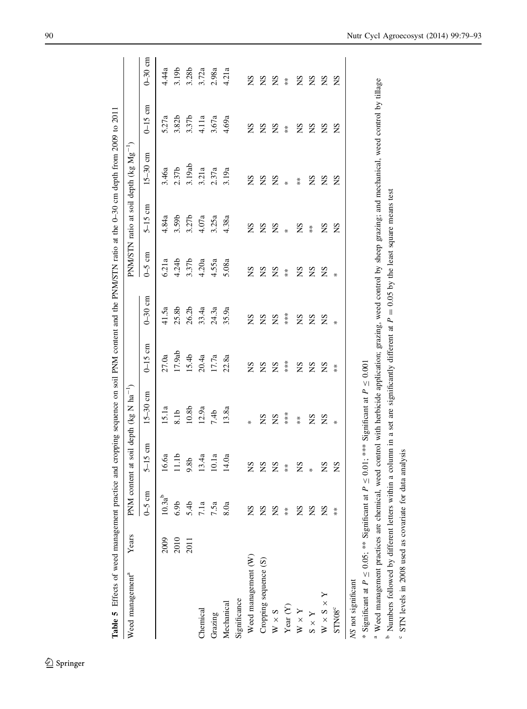| Table 5 Effects of weed management practice and cropping sequence on soil PNM content and the PNM/STN ratio at the 0-30 cm depth from 2009 to 2011 |       |                  |                   |                                                 |                      |                   |            |                      |                                                    |            |           |
|----------------------------------------------------------------------------------------------------------------------------------------------------|-------|------------------|-------------------|-------------------------------------------------|----------------------|-------------------|------------|----------------------|----------------------------------------------------|------------|-----------|
| Weed management <sup>a</sup>                                                                                                                       | Years |                  |                   | PNM content at soil depth ( $kg$ N $ha^{-1}$ )  |                      |                   |            |                      | PNM/STN ratio at soil depth (kg Mg <sup>-1</sup> ) |            |           |
|                                                                                                                                                    |       | $0 - 5$ cm       | $5-15$ cm         | $15-30$ cm                                      | $0-15$ cm            | $0-30$ cm         | $0 - 5$ cm | $5-15$ cm            | $15 - 30$ cm                                       | $0-15$ cm  | $0-30$ cm |
|                                                                                                                                                    | 2009  | $10.3a^{b}$      | 16.6a             | 15.1a                                           | 27.0a                | 41.5a             | 6.21a      | 4.84a                | 3.46a                                              | 5.27a      | 4.44a     |
|                                                                                                                                                    | 2010  | 6.9 <sub>b</sub> | 11.1 <sub>b</sub> | 8.1b                                            | 17.9ab               | 25.8b             | 4.24b      | 3.59b                | 2.37b                                              | 3.82b      | 3.19b     |
|                                                                                                                                                    | 2011  | 5.4b             | 9.8b              | $10.8b$                                         | 15.4b                | 26.2 <sub>b</sub> | 3.37b      | 3.27 <sub>b</sub>    | 3.19ab                                             | 3.37b      | 3.28b     |
| Chemical                                                                                                                                           |       | 7.1a             | 13.4a             | 12.9a                                           | 20.4a                | 33.4a             | 4.20a      | 4.07a                | 3.21a                                              | 4.11a      | 3.72a     |
| Grazing                                                                                                                                            |       | 7.5a             | 10.1a             | 7.4 <sub>b</sub>                                | 17.7a                | 24.3a             | 4.55a      | 3.25a                | 2.37a                                              | 3.67a      | 2.98a     |
| Mechanical                                                                                                                                         |       | 8.0a             | 14.0a             | 13.8a                                           | 22.8a                | 35.9a             | 5.08a      | 4.38a                | 3.19a                                              | 4.69a      | 4.21a     |
| Significance                                                                                                                                       |       |                  |                   |                                                 |                      |                   |            |                      |                                                    |            |           |
| Weed management (W)                                                                                                                                |       | SN               | SN                | *                                               | SN                   | SN                | $^{2}S$    | SN                   | $_{\rm NS}$                                        | SN         | SN        |
| Cropping sequence (S)                                                                                                                              |       | SN               | SN                | SN                                              | SN                   | SN                | SN         | SN                   | $_{\rm NS}$                                        | SN         | SN        |
| $W \times S$                                                                                                                                       |       | š                | SN                | SN                                              | SN                   | SN                | SN         | SN                   | SN                                                 | SN         | SN        |
| Year $(Y)$                                                                                                                                         |       | $*$              | $*$               | ***                                             | $***$                | $***$             | $*$        | $\ast$               | ×                                                  | $\ddot{*}$ | $*$       |
| $V \times Y$                                                                                                                                       |       | SN               | SN                | $\ddot{*}$                                      | SN                   | SN                | SN         | SN                   | $*$                                                | SN         | SN        |
| $X \times S$                                                                                                                                       |       | SN               | $\ast$            | SN                                              | SN                   | SN                | SN         | $\stackrel{*}{\ast}$ | SN                                                 | SN         | SN        |
| $W \times S \times Y$                                                                                                                              |       | SN               | SN                | SN                                              | SN                   | SN                | SN         | SN                   | SN                                                 | SN         | SN        |
| STN <sub>08</sub> <sup>c</sup>                                                                                                                     |       | $*$              | SN                | ₩                                               | $\stackrel{*}{\ast}$ | ₩                 | ₩          | SN                   | SN                                                 | SN         | SN        |
| NS not significant                                                                                                                                 |       |                  |                   |                                                 |                      |                   |            |                      |                                                    |            |           |
| * Significant at $P \leq 0.05$ ; ** Significant at P                                                                                               |       |                  |                   | $\leq 0.01$ ; *** Significant at $P \leq 0.001$ |                      |                   |            |                      |                                                    |            |           |

<span id="page-11-0"></span>

<sup>a</sup> Weed management practices are chemical, weed control with herbicide application; grazing, weed control by sheep grazing; and mechanical, weed control by tillage Weed management practices are chemical, weed control with herbicide application; grazing, weed control by sheep grazing; and mechanical, weed control by tillage

 $\frac{1}{2}$  Numbers followed by different letters within a column in a set are significantly different at  $P = 0.05$  by the least square means test <sup>b</sup> Numbers followed by different letters within a column in a set are significantly different at  $P = 0.05$  by the least square means test

° STN levels in 2008 used as covariate for data analysis STN levels in 2008 used as covariate for data analysis

# <sup>2</sup> Springer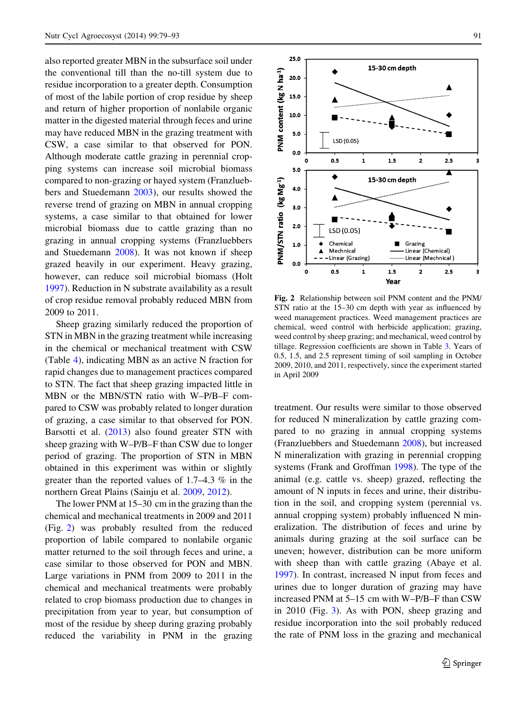<span id="page-12-0"></span>also reported greater MBN in the subsurface soil under the conventional till than the no-till system due to residue incorporation to a greater depth. Consumption of most of the labile portion of crop residue by sheep and return of higher proportion of nonlabile organic matter in the digested material through feces and urine may have reduced MBN in the grazing treatment with CSW, a case similar to that observed for PON. Although moderate cattle grazing in perennial cropping systems can increase soil microbial biomass compared to non-grazing or hayed system (Franzluebbers and Stuedemann [2003\)](#page-14-0), our results showed the reverse trend of grazing on MBN in annual cropping systems, a case similar to that obtained for lower microbial biomass due to cattle grazing than no grazing in annual cropping systems (Franzluebbers and Stuedemann [2008](#page-14-0)). It was not known if sheep grazed heavily in our experiment. Heavy grazing, however, can reduce soil microbial biomass (Holt [1997\)](#page-14-0). Reduction in N substrate availability as a result of crop residue removal probably reduced MBN from 2009 to 2011.

Sheep grazing similarly reduced the proportion of STN in MBN in the grazing treatment while increasing in the chemical or mechanical treatment with CSW (Table [4](#page-10-0)), indicating MBN as an active N fraction for rapid changes due to management practices compared to STN. The fact that sheep grazing impacted little in MBN or the MBN/STN ratio with W–P/B–F compared to CSW was probably related to longer duration of grazing, a case similar to that observed for PON. Barsotti et al. [\(2013](#page-14-0)) also found greater STN with sheep grazing with W–P/B–F than CSW due to longer period of grazing. The proportion of STN in MBN obtained in this experiment was within or slightly greater than the reported values of 1.7–4.3 % in the northern Great Plains (Sainju et al. [2009,](#page-14-0) [2012](#page-14-0)).

The lower PNM at 15–30 cm in the grazing than the chemical and mechanical treatments in 2009 and 2011 (Fig. 2) was probably resulted from the reduced proportion of labile compared to nonlabile organic matter returned to the soil through feces and urine, a case similar to those observed for PON and MBN. Large variations in PNM from 2009 to 2011 in the chemical and mechanical treatments were probably related to crop biomass production due to changes in precipitation from year to year, but consumption of most of the residue by sheep during grazing probably reduced the variability in PNM in the grazing



Fig. 2 Relationship between soil PNM content and the PNM/ STN ratio at the 15–30 cm depth with year as influenced by weed management practices. Weed management practices are chemical, weed control with herbicide application; grazing, weed control by sheep grazing; and mechanical, weed control by tillage. Regression coefficients are shown in Table [3](#page-8-0). Years of 0.5, 1.5, and 2.5 represent timing of soil sampling in October 2009, 2010, and 2011, respectively, since the experiment started in April 2009

treatment. Our results were similar to those observed for reduced N mineralization by cattle grazing compared to no grazing in annual cropping systems (Franzluebbers and Stuedemann [2008\)](#page-14-0), but increased N mineralization with grazing in perennial cropping systems (Frank and Groffman [1998\)](#page-14-0). The type of the animal (e.g. cattle vs. sheep) grazed, reflecting the amount of N inputs in feces and urine, their distribution in the soil, and cropping system (perennial vs. annual cropping system) probably influenced N mineralization. The distribution of feces and urine by animals during grazing at the soil surface can be uneven; however, distribution can be more uniform with sheep than with cattle grazing (Abaye et al. [1997\)](#page-14-0). In contrast, increased N input from feces and urines due to longer duration of grazing may have increased PNM at 5–15 cm with W–P/B–F than CSW in 2010 (Fig. [3](#page-13-0)). As with PON, sheep grazing and residue incorporation into the soil probably reduced the rate of PNM loss in the grazing and mechanical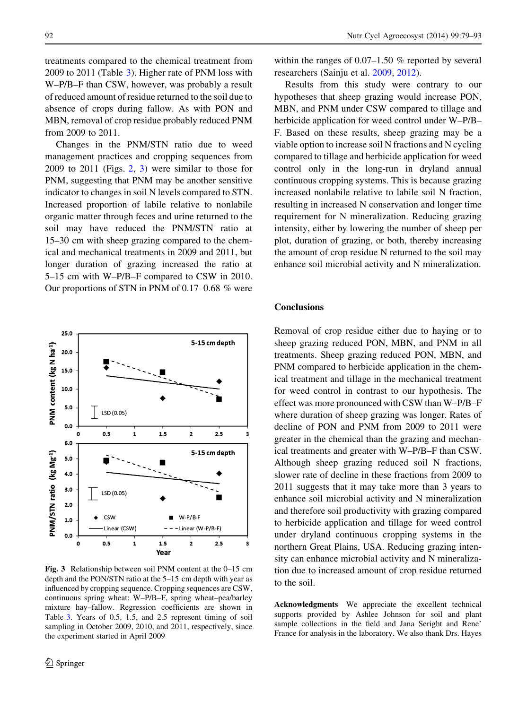<span id="page-13-0"></span>treatments compared to the chemical treatment from 2009 to 2011 (Table [3](#page-8-0)). Higher rate of PNM loss with W–P/B–F than CSW, however, was probably a result of reduced amount of residue returned to the soil due to absence of crops during fallow. As with PON and MBN, removal of crop residue probably reduced PNM from 2009 to 2011.

Changes in the PNM/STN ratio due to weed management practices and cropping sequences from  $2009$  $2009$  to  $2011$  (Figs. 2, 3) were similar to those for PNM, suggesting that PNM may be another sensitive indicator to changes in soil N levels compared to STN. Increased proportion of labile relative to nonlabile organic matter through feces and urine returned to the soil may have reduced the PNM/STN ratio at 15–30 cm with sheep grazing compared to the chemical and mechanical treatments in 2009 and 2011, but longer duration of grazing increased the ratio at 5–15 cm with W–P/B–F compared to CSW in 2010. Our proportions of STN in PNM of 0.17–0.68 % were



Fig. 3 Relationship between soil PNM content at the 0–15 cm depth and the PON/STN ratio at the 5–15 cm depth with year as influenced by cropping sequence. Cropping sequences are CSW, continuous spring wheat; W–P/B–F, spring wheat–pea/barley mixture hay–fallow. Regression coefficients are shown in Table [3](#page-8-0). Years of 0.5, 1.5, and 2.5 represent timing of soil sampling in October 2009, 2010, and 2011, respectively, since the experiment started in April 2009

within the ranges of 0.07–1.50 % reported by several researchers (Sainju et al. [2009,](#page-14-0) [2012](#page-14-0)).

Results from this study were contrary to our hypotheses that sheep grazing would increase PON, MBN, and PNM under CSW compared to tillage and herbicide application for weed control under W–P/B– F. Based on these results, sheep grazing may be a viable option to increase soil N fractions and N cycling compared to tillage and herbicide application for weed control only in the long-run in dryland annual continuous cropping systems. This is because grazing increased nonlabile relative to labile soil N fraction, resulting in increased N conservation and longer time requirement for N mineralization. Reducing grazing intensity, either by lowering the number of sheep per plot, duration of grazing, or both, thereby increasing the amount of crop residue N returned to the soil may enhance soil microbial activity and N mineralization.

#### **Conclusions**

Removal of crop residue either due to haying or to sheep grazing reduced PON, MBN, and PNM in all treatments. Sheep grazing reduced PON, MBN, and PNM compared to herbicide application in the chemical treatment and tillage in the mechanical treatment for weed control in contrast to our hypothesis. The effect was more pronounced with CSW than W–P/B–F where duration of sheep grazing was longer. Rates of decline of PON and PNM from 2009 to 2011 were greater in the chemical than the grazing and mechanical treatments and greater with W–P/B–F than CSW. Although sheep grazing reduced soil N fractions, slower rate of decline in these fractions from 2009 to 2011 suggests that it may take more than 3 years to enhance soil microbial activity and N mineralization and therefore soil productivity with grazing compared to herbicide application and tillage for weed control under dryland continuous cropping systems in the northern Great Plains, USA. Reducing grazing intensity can enhance microbial activity and N mineralization due to increased amount of crop residue returned to the soil.

Acknowledgments We appreciate the excellent technical supports provided by Ashlee Johnson for soil and plant sample collections in the field and Jana Seright and Rene' France for analysis in the laboratory. We also thank Drs. Hayes